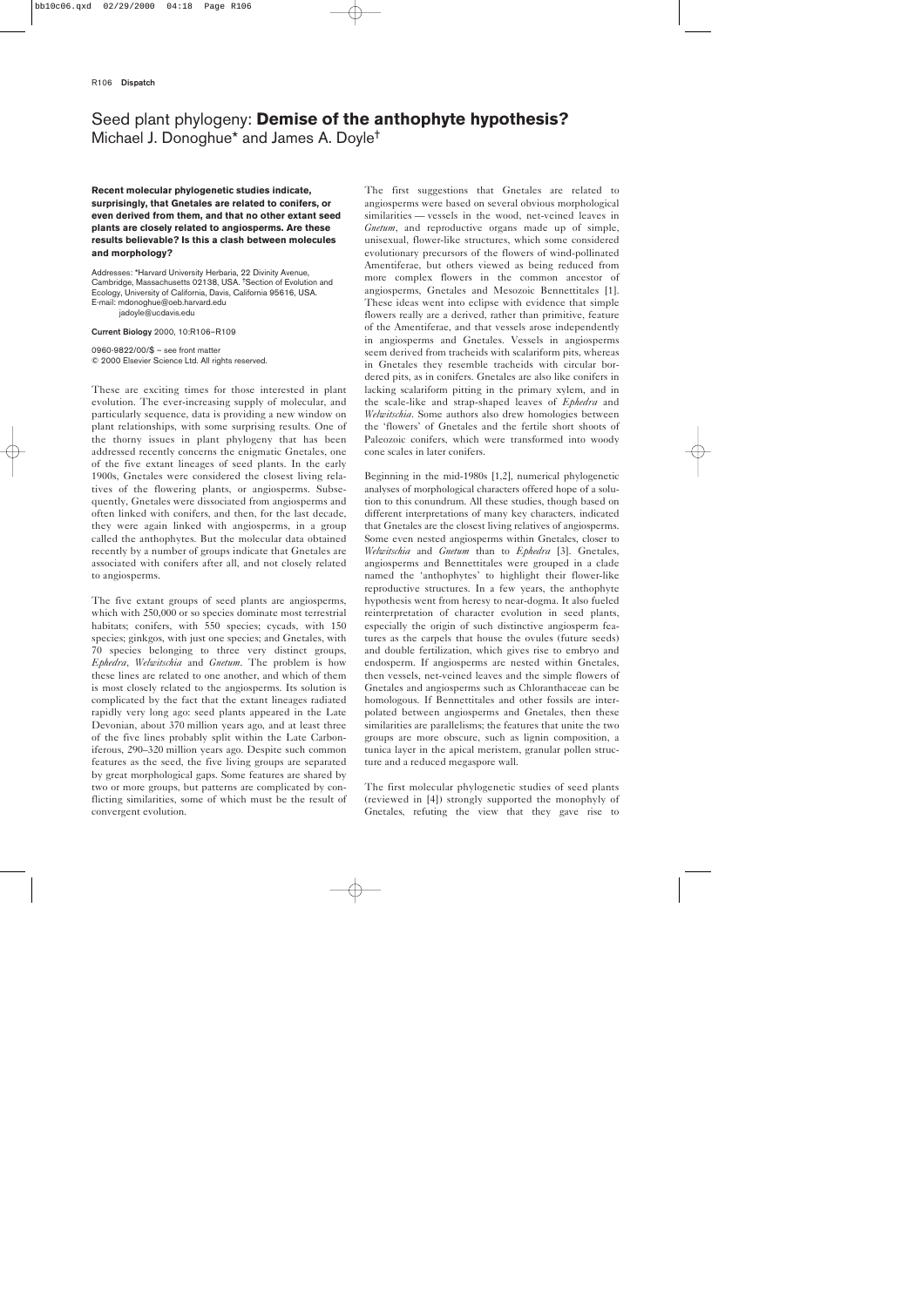## Seed plant phylogeny: **Demise of the anthophyte hypothesis?** Michael J. Donoghue\* and James A. Doyle†

**Recent molecular phylogenetic studies indicate, surprisingly, that Gnetales are related to conifers, or even derived from them, and that no other extant seed plants are closely related to angiosperms. Are these results believable? Is this a clash between molecules and morphology?**

Addresses: \*Harvard University Herbaria, 22 Divinity Avenue, Cambridge, Massachusetts 02138, USA. †Section of Evolution and Ecology, University of California, Davis, California 95616, USA. E-mail: mdonoghue@oeb.harvard.edu jadoyle@ucdavis.edu

**Current Biology** 2000, 10:R106–R109

0960-9822/00/\$ – see front matter © 2000 Elsevier Science Ltd. All rights reserved.

These are exciting times for those interested in plant evolution. The ever-increasing supply of molecular, and particularly sequence, data is providing a new window on plant relationships, with some surprising results. One of the thorny issues in plant phylogeny that has been addressed recently concerns the enigmatic Gnetales, one of the five extant lineages of seed plants. In the early 1900s, Gnetales were considered the closest living relatives of the flowering plants, or angiosperms. Subsequently, Gnetales were dissociated from angiosperms and often linked with conifers, and then, for the last decade, they were again linked with angiosperms, in a group called the anthophytes. But the molecular data obtained recently by a number of groups indicate that Gnetales are associated with conifers after all, and not closely related to angiosperms.

The five extant groups of seed plants are angiosperms, which with 250,000 or so species dominate most terrestrial habitats; conifers, with 550 species; cycads, with 150 species; ginkgos, with just one species; and Gnetales, with 70 species belonging to three very distinct groups, *Ephedra*, *Welwitschia* and *Gnetum*. The problem is how these lines are related to one another, and which of them is most closely related to the angiosperms. Its solution is complicated by the fact that the extant lineages radiated rapidly very long ago: seed plants appeared in the Late Devonian, about 370 million years ago, and at least three of the five lines probably split within the Late Carboniferous, 290–320 million years ago. Despite such common features as the seed, the five living groups are separated by great morphological gaps. Some features are shared by two or more groups, but patterns are complicated by conflicting similarities, some of which must be the result of convergent evolution.

The first suggestions that Gnetales are related to angiosperms were based on several obvious morphological similarities — vessels in the wood, net-veined leaves in *Gnetum*, and reproductive organs made up of simple, unisexual, flower-like structures, which some considered evolutionary precursors of the flowers of wind-pollinated Amentiferae, but others viewed as being reduced from more complex flowers in the common ancestor of angiosperms, Gnetales and Mesozoic Bennettitales [1]. These ideas went into eclipse with evidence that simple flowers really are a derived, rather than primitive, feature of the Amentiferae, and that vessels arose independently in angiosperms and Gnetales. Vessels in angiosperms seem derived from tracheids with scalariform pits, whereas in Gnetales they resemble tracheids with circular bordered pits, as in conifers. Gnetales are also like conifers in lacking scalariform pitting in the primary xylem, and in the scale-like and strap-shaped leaves of *Ephedra* and *Welwitschia*. Some authors also drew homologies between the 'flowers' of Gnetales and the fertile short shoots of Paleozoic conifers, which were transformed into woody cone scales in later conifers.

Beginning in the mid-1980s [1,2], numerical phylogenetic analyses of morphological characters offered hope of a solution to this conundrum. All these studies, though based on different interpretations of many key characters, indicated that Gnetales are the closest living relatives of angiosperms. Some even nested angiosperms within Gnetales, closer to *Welwitschia* and *Gnetum* than to *Ephedra* [3]. Gnetales, angiosperms and Bennettitales were grouped in a clade named the 'anthophytes' to highlight their flower-like reproductive structures. In a few years, the anthophyte hypothesis went from heresy to near-dogma. It also fueled reinterpretation of character evolution in seed plants, especially the origin of such distinctive angiosperm features as the carpels that house the ovules (future seeds) and double fertilization, which gives rise to embryo and endosperm. If angiosperms are nested within Gnetales, then vessels, net-veined leaves and the simple flowers of Gnetales and angiosperms such as Chloranthaceae can be homologous. If Bennettitales and other fossils are interpolated between angiosperms and Gnetales, then these similarities are parallelisms; the features that unite the two groups are more obscure, such as lignin composition, a tunica layer in the apical meristem, granular pollen structure and a reduced megaspore wall.

The first molecular phylogenetic studies of seed plants (reviewed in [4]) strongly supported the monophyly of Gnetales, refuting the view that they gave rise to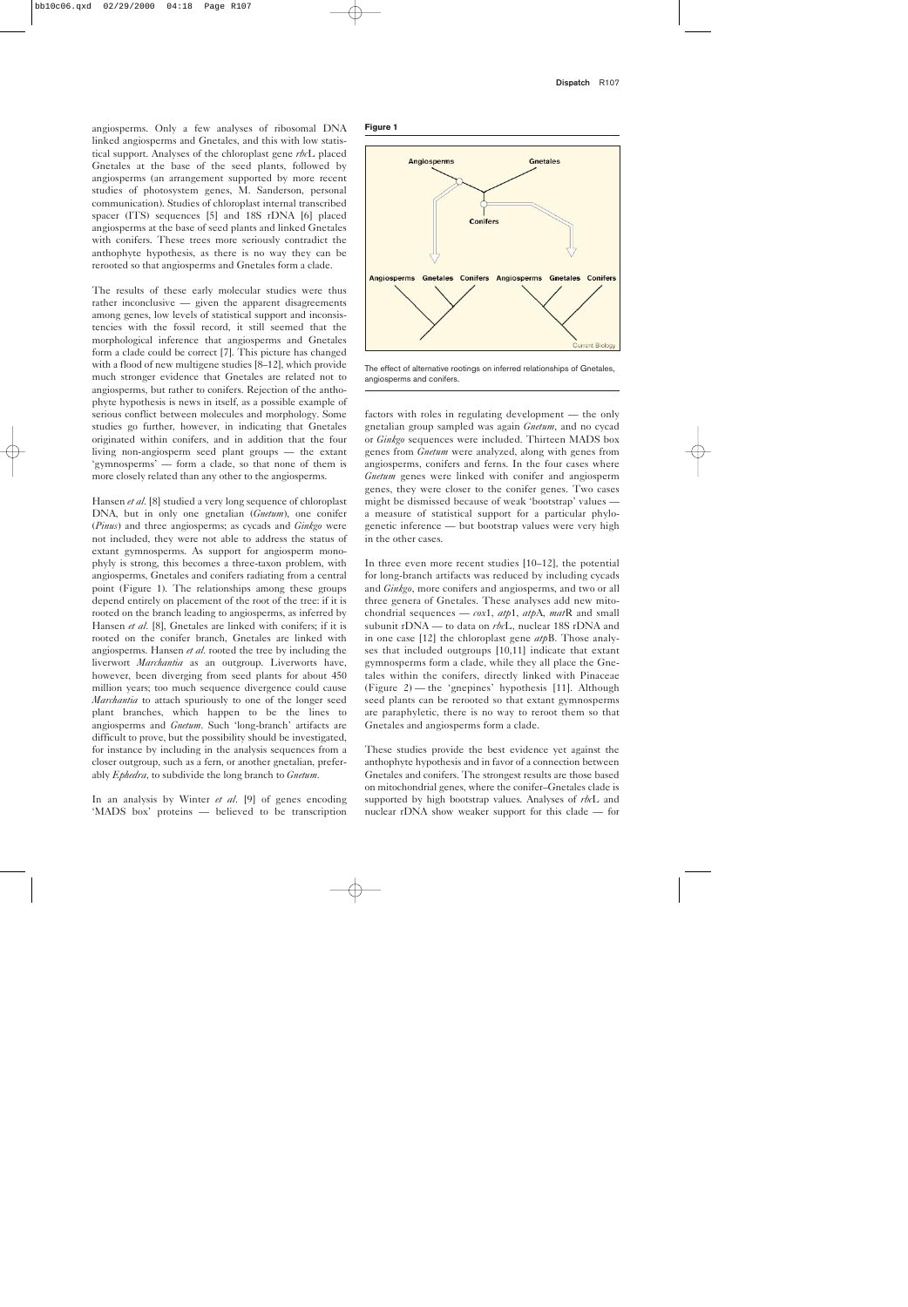angiosperms. Only a few analyses of ribosomal DNA linked angiosperms and Gnetales, and this with low statistical support. Analyses of the chloroplast gene *rbc*L placed Gnetales at the base of the seed plants, followed by angiosperms (an arrangement supported by more recent studies of photosystem genes, M. Sanderson, personal communication). Studies of chloroplast internal transcribed spacer (ITS) sequences [5] and 18S rDNA [6] placed angiosperms at the base of seed plants and linked Gnetales with conifers. These trees more seriously contradict the anthophyte hypothesis, as there is no way they can be rerooted so that angiosperms and Gnetales form a clade.

The results of these early molecular studies were thus rather inconclusive — given the apparent disagreements among genes, low levels of statistical support and inconsistencies with the fossil record, it still seemed that the morphological inference that angiosperms and Gnetales form a clade could be correct [7]. This picture has changed with a flood of new multigene studies [8–12], which provide much stronger evidence that Gnetales are related not to angiosperms, but rather to conifers. Rejection of the anthophyte hypothesis is news in itself, as a possible example of serious conflict between molecules and morphology. Some studies go further, however, in indicating that Gnetales originated within conifers, and in addition that the four living non-angiosperm seed plant groups — the extant 'gymnosperms' — form a clade, so that none of them is more closely related than any other to the angiosperms.

Hansen *et al.* [8] studied a very long sequence of chloroplast DNA, but in only one gnetalian (*Gnetum*), one conifer (*Pinus*) and three angiosperms; as cycads and *Ginkgo* were not included, they were not able to address the status of extant gymnosperms. As support for angiosperm monophyly is strong, this becomes a three-taxon problem, with angiosperms, Gnetales and conifers radiating from a central point (Figure 1). The relationships among these groups depend entirely on placement of the root of the tree: if it is rooted on the branch leading to angiosperms, as inferred by Hansen *et al.* [8], Gnetales are linked with conifers; if it is rooted on the conifer branch, Gnetales are linked with angiosperms. Hansen *et al.* rooted the tree by including the liverwort *Marchantia* as an outgroup. Liverworts have, however, been diverging from seed plants for about 450 million years; too much sequence divergence could cause *Marchantia* to attach spuriously to one of the longer seed plant branches, which happen to be the lines to angiosperms and *Gnetum*. Such 'long-branch' artifacts are difficult to prove, but the possibility should be investigated, for instance by including in the analysis sequences from a closer outgroup, such as a fern, or another gnetalian, preferably *Ephedra*, to subdivide the long branch to *Gnetum*.

In an analysis by Winter *et al.* [9] of genes encoding 'MADS box' proteins — believed to be transcription

## **Figure 1**



The effect of alternative rootings on inferred relationships of Gnetales, angiosperms and conifers.

factors with roles in regulating development — the only gnetalian group sampled was again *Gnetum*, and no cycad or *Ginkgo* sequences were included. Thirteen MADS box genes from *Gnetum* were analyzed, along with genes from angiosperms, conifers and ferns. In the four cases where *Gnetum* genes were linked with conifer and angiosperm genes, they were closer to the conifer genes. Two cases might be dismissed because of weak 'bootstrap' values a measure of statistical support for a particular phylogenetic inference — but bootstrap values were very high in the other cases.

In three even more recent studies [10–12], the potential for long-branch artifacts was reduced by including cycads and *Ginkgo*, more conifers and angiosperms, and two or all three genera of Gnetales. These analyses add new mitochondrial sequences — *cox*1, *atp*1, *atp*A, *mat*R and small subunit rDNA — to data on *rbc*L, nuclear 18S rDNA and in one case [12] the chloroplast gene *atp*B. Those analyses that included outgroups [10,11] indicate that extant gymnosperms form a clade, while they all place the Gnetales within the conifers, directly linked with Pinaceae (Figure 2) — the 'gnepines' hypothesis [11]. Although seed plants can be rerooted so that extant gymnosperms are paraphyletic, there is no way to reroot them so that Gnetales and angiosperms form a clade.

These studies provide the best evidence yet against the anthophyte hypothesis and in favor of a connection between Gnetales and conifers. The strongest results are those based on mitochondrial genes, where the conifer–Gnetales clade is supported by high bootstrap values. Analyses of *rbc*L and nuclear rDNA show weaker support for this clade — for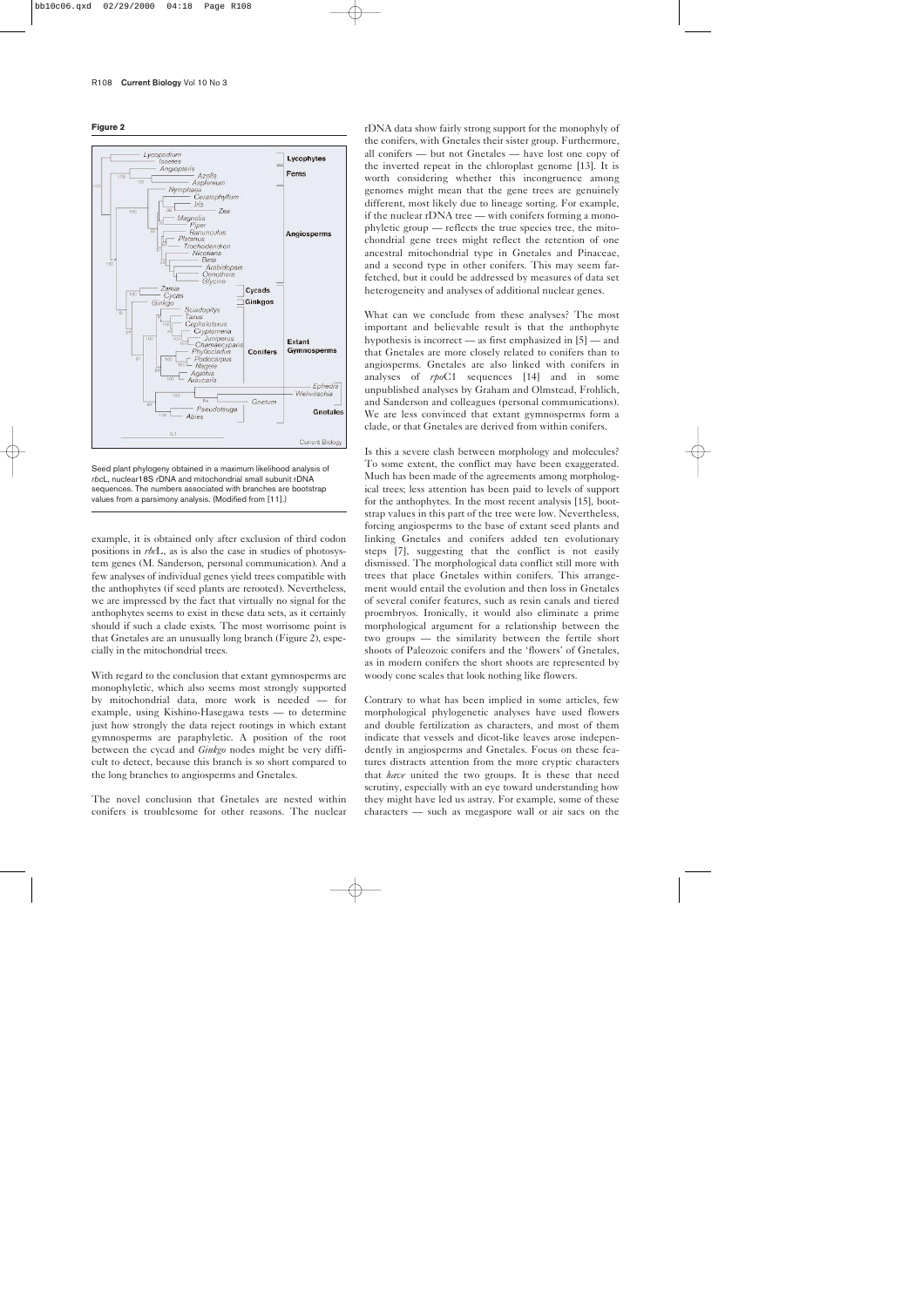



Seed plant phylogeny obtained in a maximum likelihood analysis of *rbc*L, nuclear18S rDNA and mitochondrial small subunit rDNA sequences. The numbers associated with branches are bootstrap values from a parsimony analysis. (Modified from [11].)

example, it is obtained only after exclusion of third codon positions in *rbc*L, as is also the case in studies of photosystem genes (M. Sanderson, personal communication). And a few analyses of individual genes yield trees compatible with the anthophytes (if seed plants are rerooted). Nevertheless, we are impressed by the fact that virtually no signal for the anthophytes seems to exist in these data sets, as it certainly should if such a clade exists. The most worrisome point is that Gnetales are an unusually long branch (Figure 2), especially in the mitochondrial trees.

With regard to the conclusion that extant gymnosperms are monophyletic, which also seems most strongly supported by mitochondrial data, more work is needed — for example, using Kishino-Hasegawa tests — to determine just how strongly the data reject rootings in which extant gymnosperms are paraphyletic. A position of the root between the cycad and *Ginkgo* nodes might be very difficult to detect, because this branch is so short compared to the long branches to angiosperms and Gnetales.

The novel conclusion that Gnetales are nested within conifers is troublesome for other reasons. The nuclear rDNA data show fairly strong support for the monophyly of the conifers, with Gnetales their sister group. Furthermore, all conifers — but not Gnetales — have lost one copy of the inverted repeat in the chloroplast genome [13]. It is worth considering whether this incongruence among genomes might mean that the gene trees are genuinely different, most likely due to lineage sorting. For example, if the nuclear rDNA tree — with conifers forming a monophyletic group — reflects the true species tree, the mitochondrial gene trees might reflect the retention of one ancestral mitochondrial type in Gnetales and Pinaceae, and a second type in other conifers. This may seem farfetched, but it could be addressed by measures of data set heterogeneity and analyses of additional nuclear genes.

What can we conclude from these analyses? The most important and believable result is that the anthophyte hypothesis is incorrect — as first emphasized in [5] — and that Gnetales are more closely related to conifers than to angiosperms. Gnetales are also linked with conifers in analyses of *rpo*C1 sequences [14] and in some unpublished analyses by Graham and Olmstead, Frohlich, and Sanderson and colleagues (personal communications). We are less convinced that extant gymnosperms form a clade, or that Gnetales are derived from within conifers.

Is this a severe clash between morphology and molecules? To some extent, the conflict may have been exaggerated. Much has been made of the agreements among morphological trees; less attention has been paid to levels of support for the anthophytes. In the most recent analysis [15], bootstrap values in this part of the tree were low. Nevertheless, forcing angiosperms to the base of extant seed plants and linking Gnetales and conifers added ten evolutionary steps [7], suggesting that the conflict is not easily dismissed. The morphological data conflict still more with trees that place Gnetales within conifers. This arrangement would entail the evolution and then loss in Gnetales of several conifer features, such as resin canals and tiered proembryos. Ironically, it would also eliminate a prime morphological argument for a relationship between the two groups — the similarity between the fertile short shoots of Paleozoic conifers and the 'flowers' of Gnetales, as in modern conifers the short shoots are represented by woody cone scales that look nothing like flowers.

Contrary to what has been implied in some articles, few morphological phylogenetic analyses have used flowers and double fertilization as characters, and most of them indicate that vessels and dicot-like leaves arose independently in angiosperms and Gnetales. Focus on these features distracts attention from the more cryptic characters that *have* united the two groups. It is these that need scrutiny, especially with an eye toward understanding how they might have led us astray. For example, some of these characters — such as megaspore wall or air sacs on the